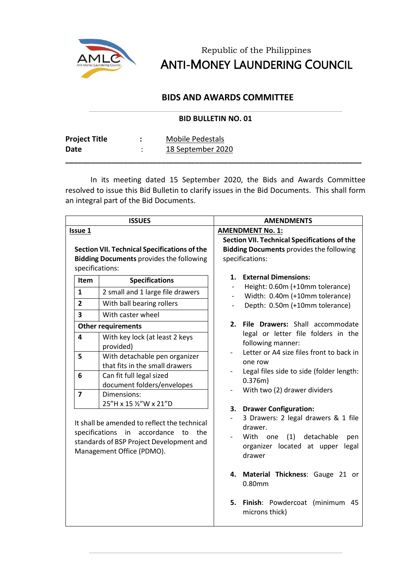

Republic of the Philippines ANTI-MONEY LAUNDERING COUNCIL

## **BIDS AND AWARDS COMMITTEE**

## **BID BULLETIN NO. 01**

| <b>Project Title</b> | Mobile Pedestals  |
|----------------------|-------------------|
| Date                 | 18 September 2020 |

In its meeting dated 15 September 2020, the Bids and Awards Committee resolved to issue this Bid Bulletin to clarify issues in the Bid Documents. This shall form an integral part of the Bid Documents.

**\_\_\_\_\_\_\_\_\_\_\_\_\_\_\_\_\_\_\_\_\_\_\_\_\_\_\_\_\_\_\_\_\_\_\_\_\_\_\_\_\_\_\_\_\_\_\_\_\_\_\_\_\_\_\_\_\_\_\_\_\_\_\_\_\_\_\_\_\_\_\_**

| <b>ISSUES</b>                                                                                                             |                                                                                                                                                                                                                                                                                                                      | <b>AMENDMENTS</b>                                                                                                                                                                                                                                                                                                                                                                                                       |
|---------------------------------------------------------------------------------------------------------------------------|----------------------------------------------------------------------------------------------------------------------------------------------------------------------------------------------------------------------------------------------------------------------------------------------------------------------|-------------------------------------------------------------------------------------------------------------------------------------------------------------------------------------------------------------------------------------------------------------------------------------------------------------------------------------------------------------------------------------------------------------------------|
| <b>Issue 1</b>                                                                                                            |                                                                                                                                                                                                                                                                                                                      | <b>AMENDMENT No. 1:</b>                                                                                                                                                                                                                                                                                                                                                                                                 |
| <b>Section VII. Technical Specifications of the</b><br><b>Bidding Documents provides the following</b><br>specifications: |                                                                                                                                                                                                                                                                                                                      | <b>Section VII. Technical Specifications of the</b><br><b>Bidding Documents provides the following</b><br>specifications:                                                                                                                                                                                                                                                                                               |
| Item<br>$\mathbf{1}$<br>$\overline{2}$<br>3<br>4<br>5<br>6                                                                | <b>Specifications</b><br>2 small and 1 large file drawers<br>With ball bearing rollers<br>With caster wheel<br><b>Other requirements</b><br>With key lock (at least 2 keys<br>provided)<br>With detachable pen organizer<br>that fits in the small drawers<br>Can fit full legal sized<br>document folders/envelopes | <b>External Dimensions:</b><br>1.<br>Height: 0.60m (+10mm tolerance)<br>$\overline{\phantom{0}}$<br>Width: 0.40m (+10mm tolerance)<br>Depth: 0.50m (+10mm tolerance)<br>File Drawers: Shall accommodate<br>2.<br>legal or letter file folders in the<br>following manner:<br>Letter or A4 size files front to back in<br>one row<br>Legal files side to side (folder length:<br>0.376m)<br>With two (2) drawer dividers |
| $\overline{\mathbf{z}}$                                                                                                   | Dimensions:<br>25"H x 15 1/2"W x 21"D<br>It shall be amended to reflect the technical<br>specifications<br>in accordance<br>the<br>to<br>standards of BSP Project Development and<br>Management Office (PDMO).                                                                                                       | <b>Drawer Configuration:</b><br>3.<br>3 Drawers: 2 legal drawers & 1 file<br>drawer.<br>With one<br>(1)<br>detachable<br>pen<br>organizer located at upper<br>legal<br>drawer<br>Material Thickness: Gauge 21 or<br>4.<br>0.80mm<br>Finish: Powdercoat (minimum<br>5.<br>45<br>microns thick)                                                                                                                           |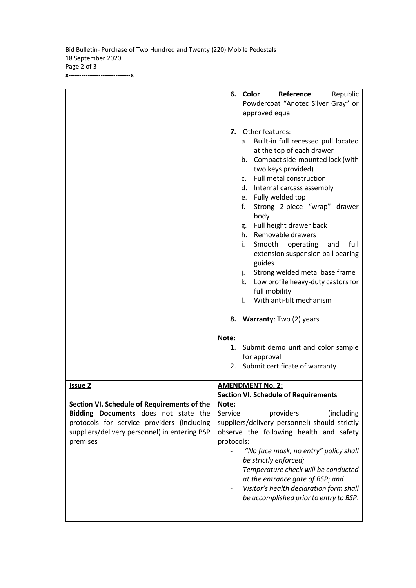Bid Bulletin- Purchase of Two Hundred and Twenty (220) Mobile Pedestals 18 September 2020 Page 2 of 3 **x-----------------------------x**

|                                               | Color<br>Reference:<br>6.<br>Republic                                                                                                                                                                                                                                                                                                                                                                                                                                                                                                                                                                                                                                                                                                               |
|-----------------------------------------------|-----------------------------------------------------------------------------------------------------------------------------------------------------------------------------------------------------------------------------------------------------------------------------------------------------------------------------------------------------------------------------------------------------------------------------------------------------------------------------------------------------------------------------------------------------------------------------------------------------------------------------------------------------------------------------------------------------------------------------------------------------|
|                                               | Powdercoat "Anotec Silver Gray" or                                                                                                                                                                                                                                                                                                                                                                                                                                                                                                                                                                                                                                                                                                                  |
|                                               | approved equal                                                                                                                                                                                                                                                                                                                                                                                                                                                                                                                                                                                                                                                                                                                                      |
|                                               | Other features:<br>7.<br>Built-in full recessed pull located<br>а.<br>at the top of each drawer<br>b. Compact side-mounted lock (with<br>two keys provided)<br>Full metal construction<br>C <sub>1</sub><br>d. Internal carcass assembly<br>e. Fully welded top<br>f.<br>Strong 2-piece "wrap" drawer<br>body<br>Full height drawer back<br>g.<br>h. Removable drawers<br>full<br>i.<br>Smooth operating<br>and<br>extension suspension ball bearing<br>guides<br>Strong welded metal base frame<br>j.<br>Low profile heavy-duty castors for<br>k.<br>full mobility<br>With anti-tilt mechanism<br>$\mathbf{L}$<br>8. Warranty: Two (2) years<br>Note:<br>1. Submit demo unit and color sample<br>for approval<br>2. Submit certificate of warranty |
| <b>Issue 2</b>                                | <b>AMENDMENT No. 2:</b>                                                                                                                                                                                                                                                                                                                                                                                                                                                                                                                                                                                                                                                                                                                             |
|                                               | <b>Section VI. Schedule of Requirements</b>                                                                                                                                                                                                                                                                                                                                                                                                                                                                                                                                                                                                                                                                                                         |
| Section VI. Schedule of Requirements of the   | Note:                                                                                                                                                                                                                                                                                                                                                                                                                                                                                                                                                                                                                                                                                                                                               |
| Bidding Documents does not state the          | Service<br>providers<br>(including                                                                                                                                                                                                                                                                                                                                                                                                                                                                                                                                                                                                                                                                                                                  |
| protocols for service providers (including    | suppliers/delivery personnel) should strictly                                                                                                                                                                                                                                                                                                                                                                                                                                                                                                                                                                                                                                                                                                       |
| suppliers/delivery personnel) in entering BSP | observe the following health and safety                                                                                                                                                                                                                                                                                                                                                                                                                                                                                                                                                                                                                                                                                                             |
| premises                                      | protocols:                                                                                                                                                                                                                                                                                                                                                                                                                                                                                                                                                                                                                                                                                                                                          |
|                                               | "No face mask, no entry" policy shall<br>be strictly enforced;                                                                                                                                                                                                                                                                                                                                                                                                                                                                                                                                                                                                                                                                                      |
|                                               | Temperature check will be conducted                                                                                                                                                                                                                                                                                                                                                                                                                                                                                                                                                                                                                                                                                                                 |
|                                               | at the entrance gate of BSP; and                                                                                                                                                                                                                                                                                                                                                                                                                                                                                                                                                                                                                                                                                                                    |
|                                               | Visitor's health declaration form shall                                                                                                                                                                                                                                                                                                                                                                                                                                                                                                                                                                                                                                                                                                             |
|                                               | be accomplished prior to entry to BSP.                                                                                                                                                                                                                                                                                                                                                                                                                                                                                                                                                                                                                                                                                                              |
|                                               |                                                                                                                                                                                                                                                                                                                                                                                                                                                                                                                                                                                                                                                                                                                                                     |